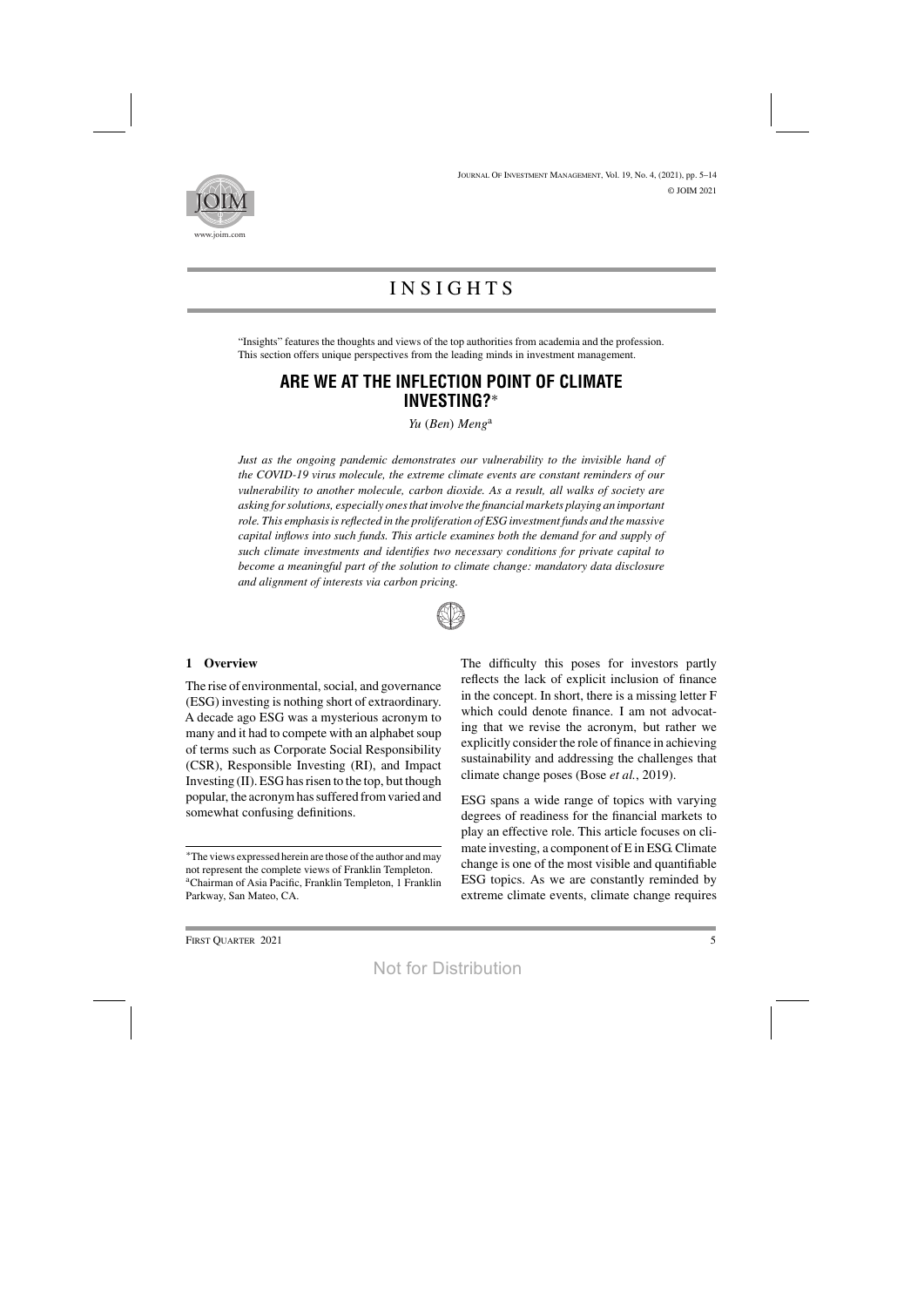

# **INSIGHTS**

"Insights" features the thoughts and views of the top authorities from academia and the profession. This section offers unique perspectives from the leading minds in investment management.

# **ARE WE AT THE INFLECTION POINT OF CLIMATE INVESTING?**∗

*Yu* (*Ben*) *Meng*<sup>a</sup>

*Just as the ongoing pandemic demonstrates our vulnerability to the invisible hand of the COVID-19 virus molecule, the extreme climate events are constant reminders of our vulnerability to another molecule, carbon dioxide. As a result, all walks of society are asking forsolutions, especially onesthat involve the financialmarkets playing an important role. This emphasisisreflected in the proliferation of ESG investment funds and the massive capital inflows into such funds. This article examines both the demand for and supply of such climate investments and identifies two necessary conditions for private capital to become a meaningful part of the solution to climate change: mandatory data disclosure and alignment of interests via carbon pricing.*



#### **1 Overview**

The rise of environmental, social, and governance (ESG) investing is nothing short of extraordinary. A decade ago ESG was a mysterious acronym to many and it had to compete with an alphabet soup of terms such as Corporate Social Responsibility (CSR), Responsible Investing (RI), and Impact Investing  $(II)$ . ESG has risen to the top, but though popular, the acronymhassuffered fromvaried and somewhat confusing definitions.

The difficulty this poses for investors partly reflects the lack of explicit inclusion of finance in the concept. In short, there is a missing letter F which could denote finance. I am not advocating that we revise the acronym, but rather we explicitly consider the role of finance in achieving sustainability and addressing the challenges that climate change poses (Bose *et al.*, 2019).

ESG spans a wide range of topics with varying degrees of readiness for the financial markets to play an effective role. This article focuses on climate investing, a component of E in ESG.Climate change is one of the most visible and quantifiable ESG topics. As we are constantly reminded by extreme climate events, climate change requires

<sup>\*</sup>The views expressed herein are those of the author and may not represent the complete views of Franklin Templeton. aChairman of Asia Pacific, Franklin Templeton, 1 Franklin Parkway, San Mateo, CA.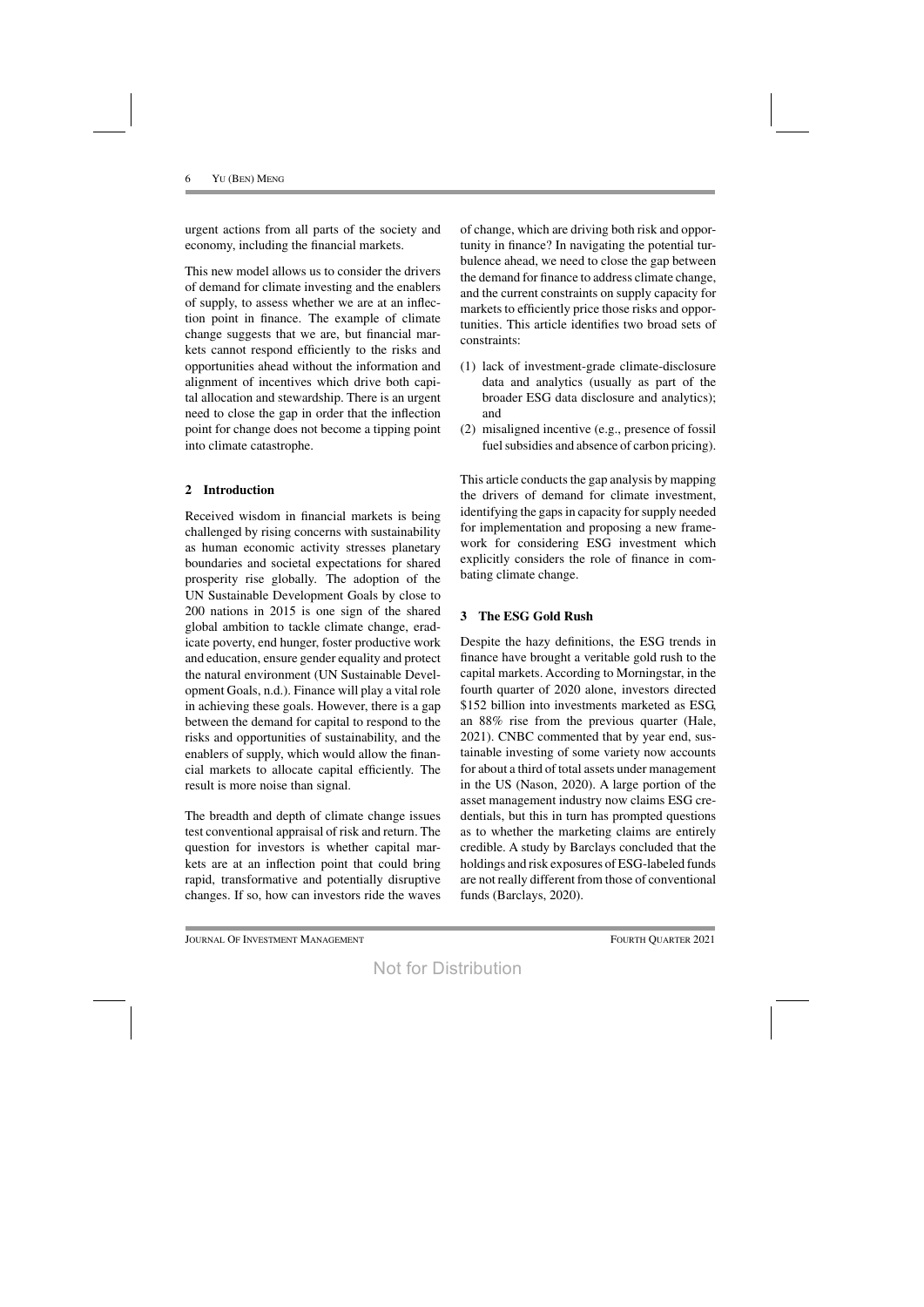urgent actions from all parts of the society and economy, including the financial markets.

This new model allows us to consider the drivers of demand for climate investing and the enablers of supply, to assess whether we are at an inflection point in finance. The example of climate change suggests that we are, but financial markets cannot respond efficiently to the risks and opportunities ahead without the information and alignment of incentives which drive both capital allocation and stewardship. There is an urgent need to close the gap in order that the inflection point for change does not become a tipping point into climate catastrophe.

# **2 Introduction**

Received wisdom in financial markets is being challenged by rising concerns with sustainability as human economic activity stresses planetary boundaries and societal expectations for shared prosperity rise globally. The adoption of the UN Sustainable Development Goals by close to 200 nations in 2015 is one sign of the shared global ambition to tackle climate change, eradicate poverty, end hunger, foster productive work and education, ensure gender equality and protect the natural environment (UN Sustainable Development Goals, n.d.). Finance will play a vital role in achieving these goals. However, there is a gap between the demand for capital to respond to the risks and opportunities of sustainability, and the enablers of supply, which would allow the financial markets to allocate capital efficiently. The result is more noise than signal.

The breadth and depth of climate change issues test conventional appraisal of risk and return. The question for investors is whether capital markets are at an inflection point that could bring rapid, transformative and potentially disruptive changes. If so, how can investors ride the waves

of change, which are driving both risk and opportunity in finance? In navigating the potential turbulence ahead, we need to close the gap between the demand for finance to address climate change, and the current constraints on supply capacity for markets to efficiently price those risks and opportunities. This article identifies two broad sets of constraints:

- (1) lack of investment-grade climate-disclosure data and analytics (usually as part of the broader ESG data disclosure and analytics); and
- (2) misaligned incentive (e.g., presence of fossil fuel subsidies and absence of carbon pricing).

This article conducts the gap analysis by mapping the drivers of demand for climate investment, identifying the gaps in capacity for supply needed for implementation and proposing a new framework for considering ESG investment which explicitly considers the role of finance in combating climate change.

# **3 The ESG Gold Rush**

Despite the hazy definitions, the ESG trends in finance have brought a veritable gold rush to the capital markets. According to Morningstar, in the fourth quarter of 2020 alone, investors directed \$152 billion into investments marketed as ESG, an 88% rise from the previous quarter (Hale, 2021). CNBC commented that by year end, sustainable investing of some variety now accounts for about a third of total assets under management in the US (Nason, 2020). A large portion of the asset management industry now claims ESG credentials, but this in turn has prompted questions as to whether the marketing claims are entirely credible. A study by Barclays concluded that the holdings and risk exposures of ESG-labeled funds are not really different from those of conventional funds (Barclays, 2020).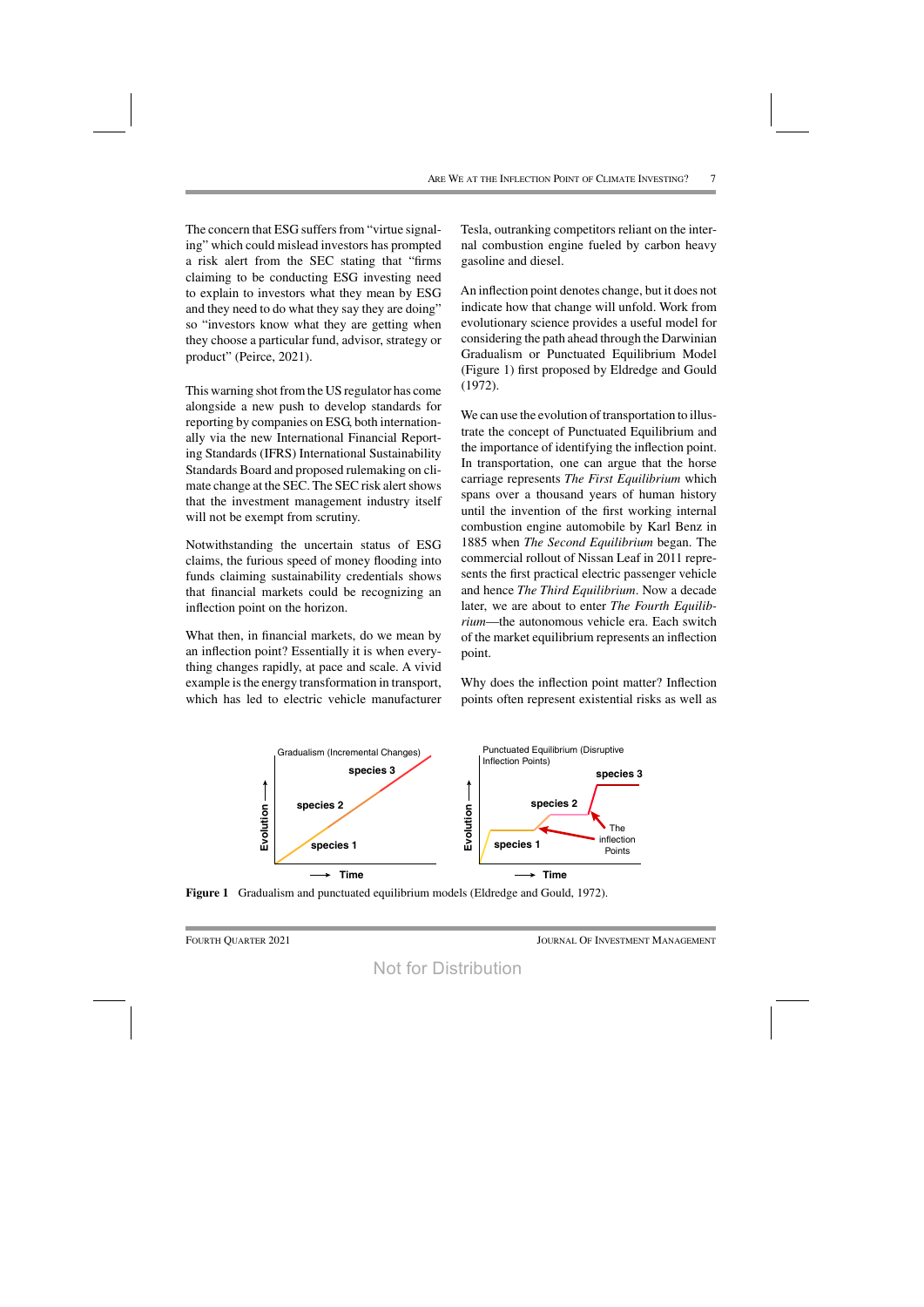The concern that ESG suffers from "virtue signaling" which could mislead investors has prompted a risk alert from the SEC stating that "firms claiming to be conducting ESG investing need to explain to investors what they mean by ESG and they need to do what they say they are doing" so "investors know what they are getting when they choose a particular fund, advisor, strategy or product" (Peirce, 2021).

This warning shot from the US regulator has come alongside a new push to develop standards for reporting by companies on ESG, both internationally via the new International Financial Reporting Standards (IFRS) International Sustainability Standards Board and proposed rulemaking on climate change at the SEC. The SEC risk alert shows that the investment management industry itself will not be exempt from scrutiny.

Notwithstanding the uncertain status of ESG claims, the furious speed of money flooding into funds claiming sustainability credentials shows that financial markets could be recognizing an inflection point on the horizon.

What then, in financial markets, do we mean by an inflection point? Essentially it is when everything changes rapidly, at pace and scale. A vivid example is the energy transformation in transport, which has led to electric vehicle manufacturer

Tesla, outranking competitors reliant on the internal combustion engine fueled by carbon heavy gasoline and diesel.

An inflection point denotes change, but it does not indicate how that change will unfold. Work from evolutionary science provides a useful model for considering the path ahead through the Darwinian Gradualism or Punctuated Equilibrium Model (Figure 1) first proposed by Eldredge and Gould (1972).

We can use the evolution of transportation to illustrate the concept of Punctuated Equilibrium and the importance of identifying the inflection point. In transportation, one can argue that the horse carriage represents *The First Equilibrium* which spans over a thousand years of human history until the invention of the first working internal combustion engine automobile by Karl Benz in 1885 when *The Second Equilibrium* began. The commercial rollout of Nissan Leaf in 2011 represents the first practical electric passenger vehicle and hence *The Third Equilibrium*. Now a decade later, we are about to enter *The Fourth Equilibrium*—the autonomous vehicle era. Each switch of the market equilibrium represents an inflection point.

Why does the inflection point matter? Inflection points often represent existential risks as well as



**Figure 1** Gradualism and punctuated equilibrium models (Eldredge and Gould, 1972).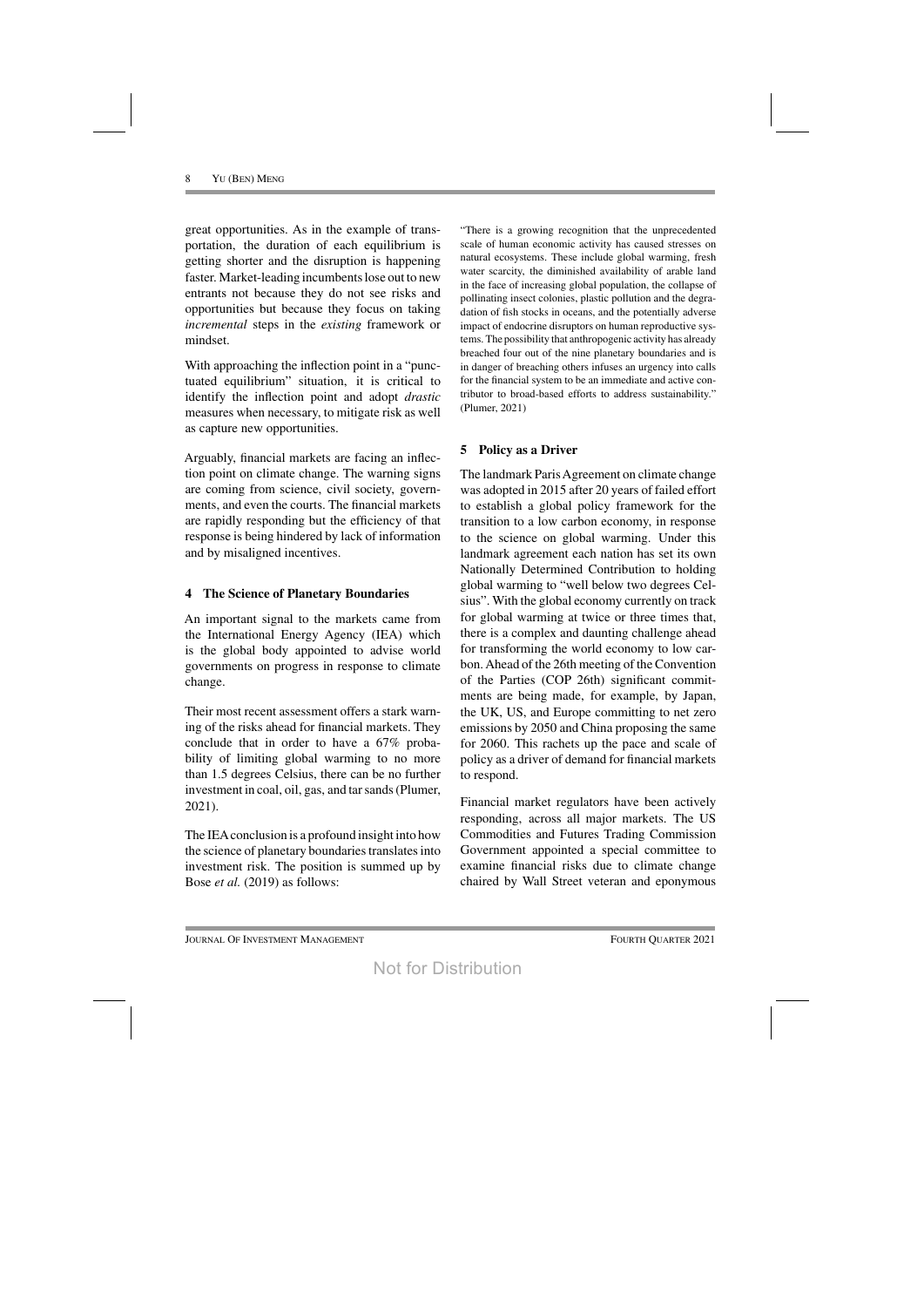great opportunities. As in the example of transportation, the duration of each equilibrium is getting shorter and the disruption is happening faster. Market-leading incumbents lose out to new entrants not because they do not see risks and opportunities but because they focus on taking *incremental* steps in the *existing* framework or mindset.

With approaching the inflection point in a "punctuated equilibrium" situation, it is critical to identify the inflection point and adopt *drastic* measures when necessary, to mitigate risk as well as capture new opportunities.

Arguably, financial markets are facing an inflection point on climate change. The warning signs are coming from science, civil society, governments, and even the courts. The financial markets are rapidly responding but the efficiency of that response is being hindered by lack of information and by misaligned incentives.

#### **4 The Science of Planetary Boundaries**

An important signal to the markets came from the International Energy Agency (IEA) which is the global body appointed to advise world governments on progress in response to climate change.

Their most recent assessment offers a stark warning of the risks ahead for financial markets. They conclude that in order to have a 67% probability of limiting global warming to no more than 1.5 degrees Celsius, there can be no further investment in coal, oil, gas, and tar sands (Plumer, 2021).

The IEAconclusion is a profound insight into how the science of planetary boundaries translates into investment risk. The position is summed up by Bose *et al.* (2019) as follows:

"There is a growing recognition that the unprecedented scale of human economic activity has caused stresses on natural ecosystems. These include global warming, fresh water scarcity, the diminished availability of arable land in the face of increasing global population, the collapse of pollinating insect colonies, plastic pollution and the degradation of fish stocks in oceans, and the potentially adverse impact of endocrine disruptors on human reproductive systems. The possibility that anthropogenic activity has already breached four out of the nine planetary boundaries and is in danger of breaching others infuses an urgency into calls for the financial system to be an immediate and active contributor to broad-based efforts to address sustainability." (Plumer, 2021)

# **5 Policy as a Driver**

The landmark Paris Agreement on climate change was adopted in 2015 after 20 years of failed effort to establish a global policy framework for the transition to a low carbon economy, in response to the science on global warming. Under this landmark agreement each nation has set its own Nationally Determined Contribution to holding global warming to "well below two degrees Celsius". With the global economy currently on track for global warming at twice or three times that, there is a complex and daunting challenge ahead for transforming the world economy to low carbon. Ahead of the 26th meeting of the Convention of the Parties (COP 26th) significant commitments are being made, for example, by Japan, the UK, US, and Europe committing to net zero emissions by 2050 and China proposing the same for 2060. This rachets up the pace and scale of policy as a driver of demand for financial markets to respond.

Financial market regulators have been actively responding, across all major markets. The US Commodities and Futures Trading Commission Government appointed a special committee to examine financial risks due to climate change chaired by Wall Street veteran and eponymous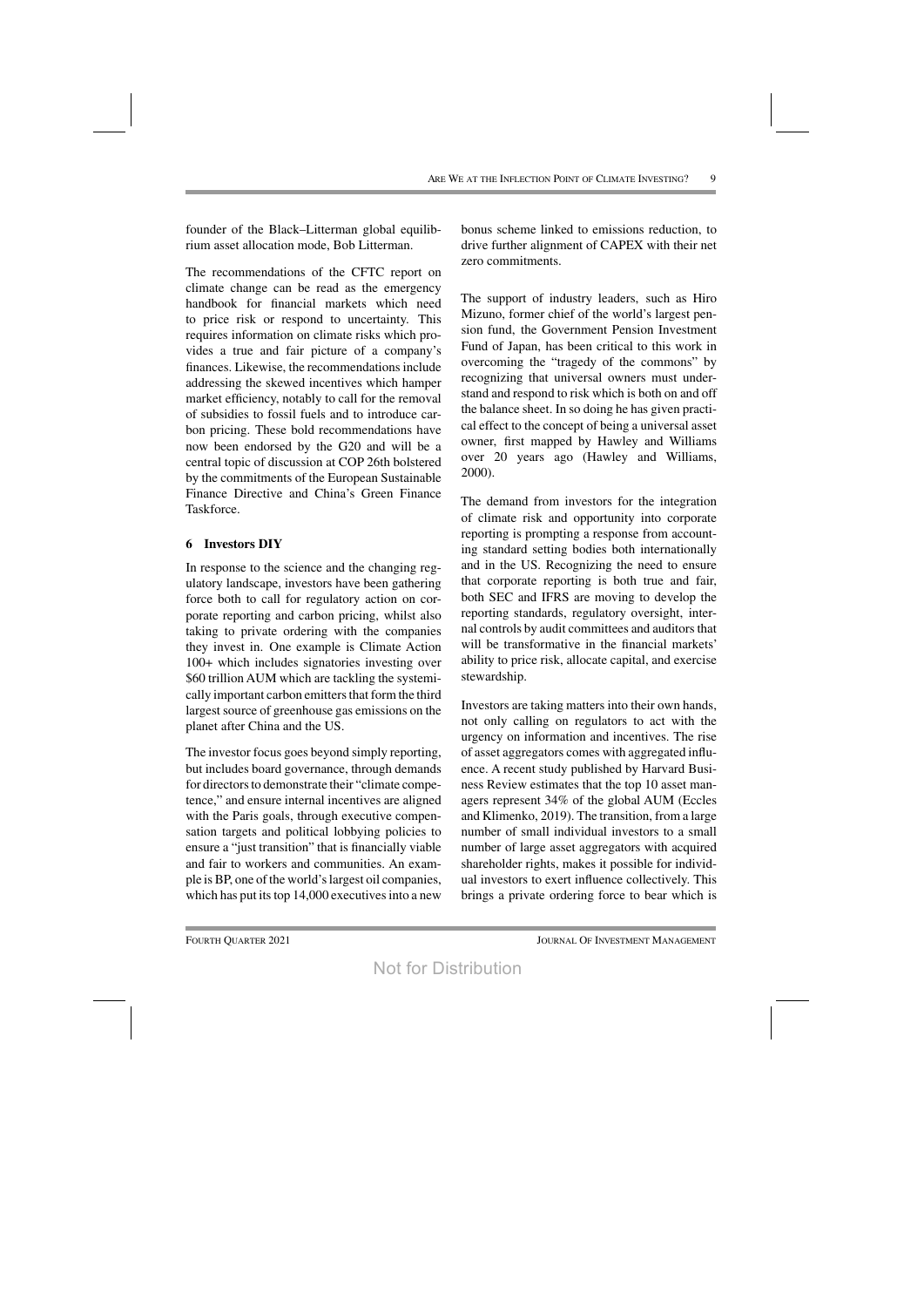founder of the Black–Litterman global equilibrium asset allocation mode, Bob Litterman.

The recommendations of the CFTC report on climate change can be read as the emergency handbook for financial markets which need to price risk or respond to uncertainty. This requires information on climate risks which provides a true and fair picture of a company's finances. Likewise, the recommendationsinclude addressing the skewed incentives which hamper market efficiency, notably to call for the removal of subsidies to fossil fuels and to introduce carbon pricing. These bold recommendations have now been endorsed by the G20 and will be a central topic of discussion at COP 26th bolstered by the commitments of the European Sustainable Finance Directive and China's Green Finance Taskforce.

#### **6 Investors DIY**

In response to the science and the changing regulatory landscape, investors have been gathering force both to call for regulatory action on corporate reporting and carbon pricing, whilst also taking to private ordering with the companies they invest in. One example is Climate Action 100+ which includes signatories investing over \$60 trillion AUM which are tackling the systemically important carbon emitters that form the third largest source of greenhouse gas emissions on the planet after China and the US.

The investor focus goes beyond simply reporting, but includes board governance, through demands for directors to demonstrate their "climate competence," and ensure internal incentives are aligned with the Paris goals, through executive compensation targets and political lobbying policies to ensure a "just transition" that is financially viable and fair to workers and communities. An example is BP, one of the world'slargest oil companies, which has put its top  $14,000$  executives into a new

bonus scheme linked to emissions reduction, to drive further alignment of CAPEX with their net zero commitments.

The support of industry leaders, such as Hiro Mizuno, former chief of the world's largest pension fund, the Government Pension Investment Fund of Japan, has been critical to this work in overcoming the "tragedy of the commons" by recognizing that universal owners must understand and respond to risk which is both on and off the balance sheet. In so doing he has given practical effect to the concept of being a universal asset owner, first mapped by Hawley and Williams over 20 years ago (Hawley and Williams, 2000).

The demand from investors for the integration of climate risk and opportunity into corporate reporting is prompting a response from accounting standard setting bodies both internationally and in the US. Recognizing the need to ensure that corporate reporting is both true and fair, both SEC and IFRS are moving to develop the reporting standards, regulatory oversight, internal controls by audit committees and auditors that will be transformative in the financial markets' ability to price risk, allocate capital, and exercise stewardship.

Investors are taking matters into their own hands, not only calling on regulators to act with the urgency on information and incentives. The rise of asset aggregators comes with aggregated influence. A recent study published by Harvard Business Review estimates that the top 10 asset managers represent 34% of the global AUM (Eccles and Klimenko, 2019). The transition, from a large number of small individual investors to a small number of large asset aggregators with acquired shareholder rights, makes it possible for individual investors to exert influence collectively. This brings a private ordering force to bear which is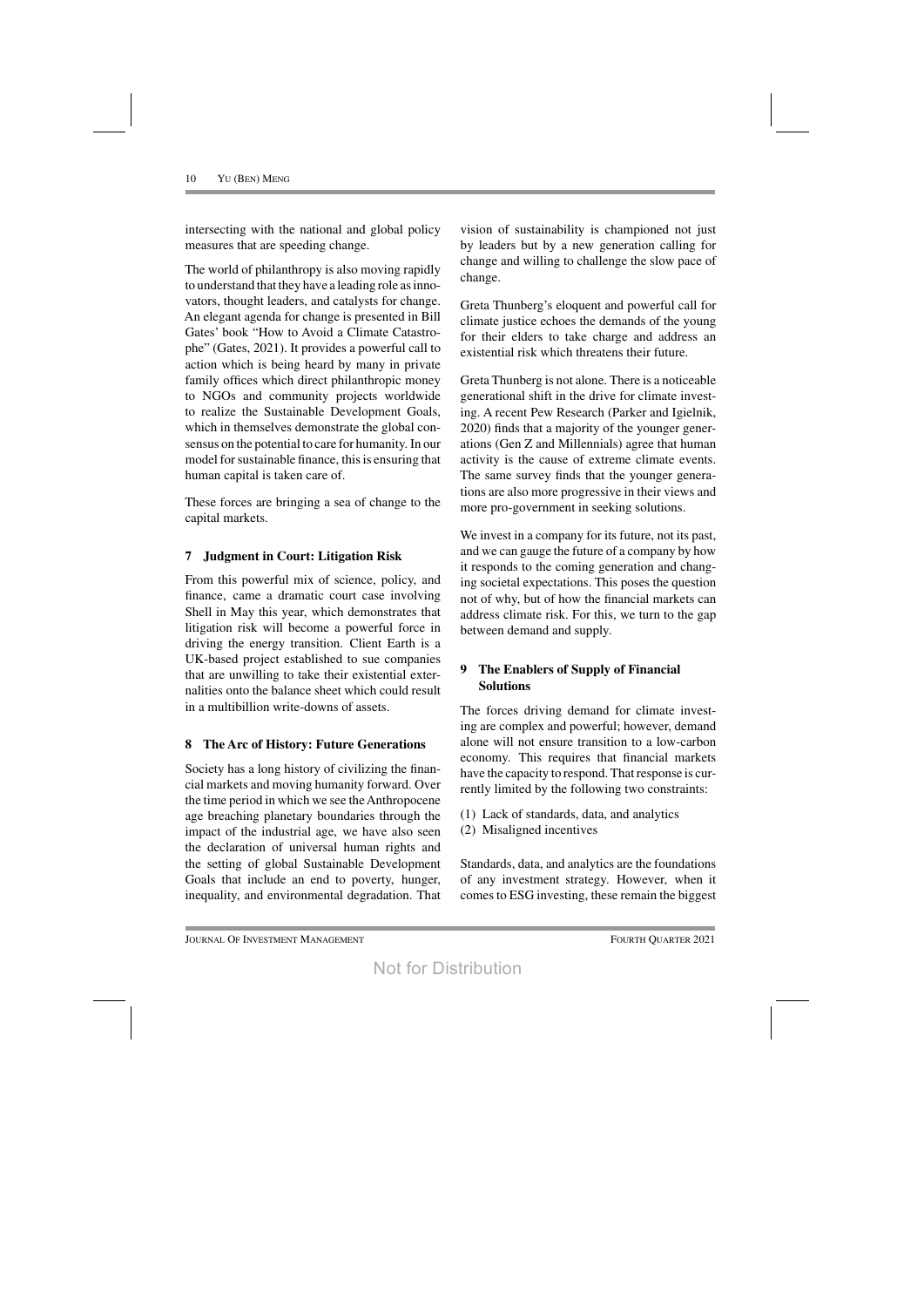intersecting with the national and global policy measures that are speeding change.

The world of philanthropy is also moving rapidly to understand that they have a leading role as innovators, thought leaders, and catalysts for change. An elegant agenda for change is presented in Bill Gates' book "How to Avoid a Climate Catastrophe" (Gates, 2021). It provides a powerful call to action which is being heard by many in private family offices which direct philanthropic money to NGOs and community projects worldwide to realize the Sustainable Development Goals, which in themselves demonstrate the global consensus on the potential to care for humanity. In our model for sustainable finance, this is ensuring that human capital is taken care of.

These forces are bringing a sea of change to the capital markets.

# **7 Judgment in Court: Litigation Risk**

From this powerful mix of science, policy, and finance, came a dramatic court case involving Shell in May this year, which demonstrates that litigation risk will become a powerful force in driving the energy transition. Client Earth is a UK-based project established to sue companies that are unwilling to take their existential externalities onto the balance sheet which could result in a multibillion write-downs of assets.

# **8 The Arc of History: Future Generations**

Society has a long history of civilizing the financial markets and moving humanity forward. Over the time period in which we see the Anthropocene age breaching planetary boundaries through the impact of the industrial age, we have also seen the declaration of universal human rights and the setting of global Sustainable Development Goals that include an end to poverty, hunger, inequality, and environmental degradation. That vision of sustainability is championed not just by leaders but by a new generation calling for change and willing to challenge the slow pace of change.

Greta Thunberg's eloquent and powerful call for climate justice echoes the demands of the young for their elders to take charge and address an existential risk which threatens their future.

Greta Thunberg is not alone. There is a noticeable generational shift in the drive for climate investing. A recent Pew Research (Parker and Igielnik, 2020) finds that a majority of the younger generations (Gen Z and Millennials) agree that human activity is the cause of extreme climate events. The same survey finds that the younger generations are also more progressive in their views and more pro-government in seeking solutions.

We invest in a company for its future, not its past, and we can gauge the future of a company by how it responds to the coming generation and changing societal expectations. This poses the question not of why, but of how the financial markets can address climate risk. For this, we turn to the gap between demand and supply.

# **9 The Enablers of Supply of Financial Solutions**

The forces driving demand for climate investing are complex and powerful; however, demand alone will not ensure transition to a low-carbon economy. This requires that financial markets have the capacity to respond. That response is currently limited by the following two constraints:

- (1) Lack of standards, data, and analytics
- (2) Misaligned incentives

Standards, data, and analytics are the foundations of any investment strategy. However, when it comes to ESG investing, these remain the biggest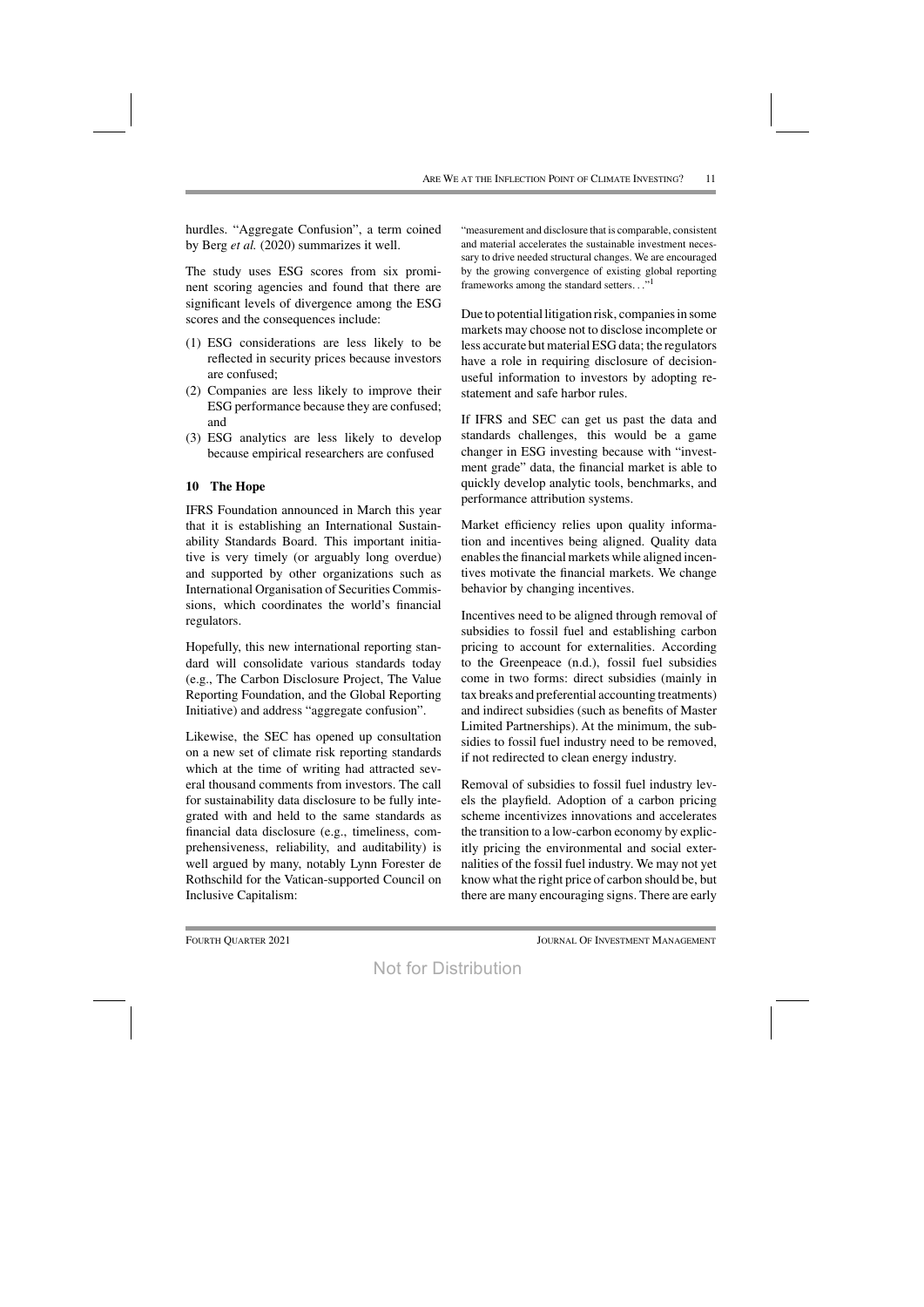hurdles. "Aggregate Confusion", a term coined by Berg *et al.* (2020) summarizes it well.

The study uses ESG scores from six prominent scoring agencies and found that there are significant levels of divergence among the ESG scores and the consequences include:

- (1) ESG considerations are less likely to be reflected in security prices because investors are confused;
- (2) Companies are less likely to improve their ESG performance because they are confused; and
- (3) ESG analytics are less likely to develop because empirical researchers are confused

#### **10 The Hope**

IFRS Foundation announced in March this year that it is establishing an International Sustainability Standards Board. This important initiative is very timely (or arguably long overdue) and supported by other organizations such as International Organisation of Securities Commissions, which coordinates the world's financial regulators.

Hopefully, this new international reporting standard will consolidate various standards today (e.g., The Carbon Disclosure Project, The Value Reporting Foundation, and the Global Reporting Initiative) and address "aggregate confusion".

Likewise, the SEC has opened up consultation on a new set of climate risk reporting standards which at the time of writing had attracted several thousand comments from investors. The call for sustainability data disclosure to be fully integrated with and held to the same standards as financial data disclosure (e.g., timeliness, comprehensiveness, reliability, and auditability) is well argued by many, notably Lynn Forester de Rothschild for the Vatican-supported Council on Inclusive Capitalism:

"measurement and disclosure that is comparable, consistent and material accelerates the sustainable investment necessary to drive needed structural changes. We are encouraged by the growing convergence of existing global reporting frameworks among the standard setters..."<sup>1</sup>

Due to potential litigation risk, companiesin some markets may choose not to disclose incomplete or less accurate but material ESG data; the regulators have a role in requiring disclosure of decisionuseful information to investors by adopting restatement and safe harbor rules.

If IFRS and SEC can get us past the data and standards challenges, this would be a game changer in ESG investing because with "investment grade" data, the financial market is able to quickly develop analytic tools, benchmarks, and performance attribution systems.

Market efficiency relies upon quality information and incentives being aligned. Quality data enables the financial markets while aligned incentives motivate the financial markets. We change behavior by changing incentives.

Incentives need to be aligned through removal of subsidies to fossil fuel and establishing carbon pricing to account for externalities. According to the Greenpeace (n.d.), fossil fuel subsidies come in two forms: direct subsidies (mainly in tax breaks and preferential accounting treatments) and indirect subsidies (such as benefits of Master Limited Partnerships). At the minimum, the subsidies to fossil fuel industry need to be removed, if not redirected to clean energy industry.

Removal of subsidies to fossil fuel industry levels the playfield. Adoption of a carbon pricing scheme incentivizes innovations and accelerates the transition to a low-carbon economy by explicitly pricing the environmental and social externalities of the fossil fuel industry. We may not yet know what the right price of carbon should be, but there are many encouraging signs. There are early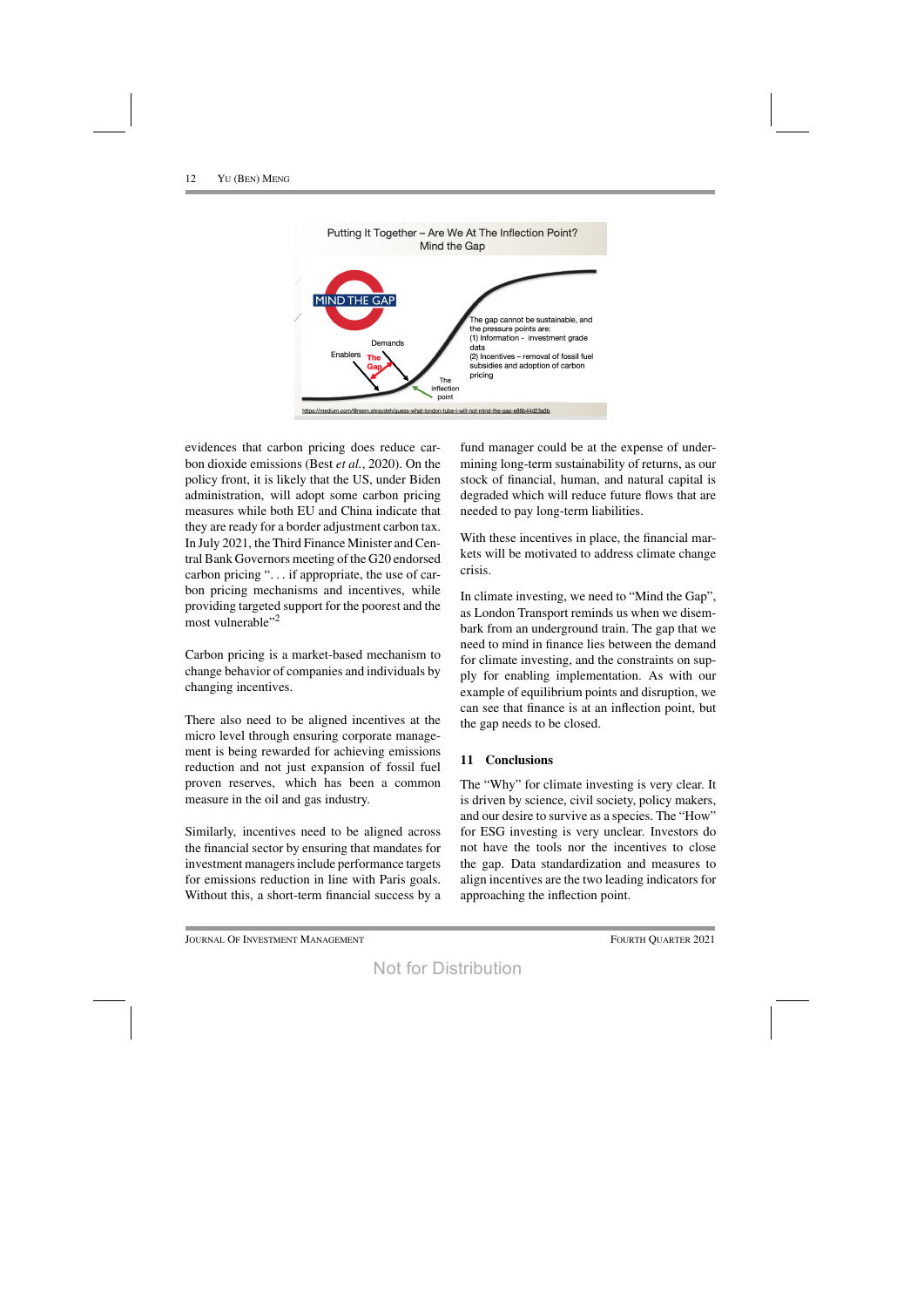

evidences that carbon pricing does reduce carbon dioxide emissions (Best *et al.*, 2020). On the policy front, it is likely that the US, under Biden administration, will adopt some carbon pricing measures while both EU and China indicate that they are ready for a border adjustment carbon tax. In July 2021, the Third Finance Minister and Central Bank Governors meeting of the G20 endorsed carbon pricing "... if appropriate, the use of carbon pricing mechanisms and incentives, while providing targeted support for the poorest and the most vulnerable"<sup>2</sup>

Carbon pricing is a market-based mechanism to change behavior of companies and individuals by changing incentives.

There also need to be aligned incentives at the micro level through ensuring corporate management is being rewarded for achieving emissions reduction and not just expansion of fossil fuel proven reserves, which has been a common measure in the oil and gas industry.

Similarly, incentives need to be aligned across the financial sector by ensuring that mandates for investment managers include performance targets for emissions reduction in line with Paris goals. Without this, a short-term financial success by a fund manager could be at the expense of undermining long-term sustainability of returns, as our stock of financial, human, and natural capital is degraded which will reduce future flows that are needed to pay long-term liabilities.

With these incentives in place, the financial markets will be motivated to address climate change crisis.

In climate investing, we need to "Mind the Gap", as London Transport reminds us when we disembark from an underground train. The gap that we need to mind in finance lies between the demand for climate investing, and the constraints on supply for enabling implementation. As with our example of equilibrium points and disruption, we can see that finance is at an inflection point, but the gap needs to be closed.

# **11 Conclusions**

The "Why" for climate investing is very clear. It is driven by science, civil society, policy makers, and our desire to survive as a species. The "How" for ESG investing is very unclear. Investors do not have the tools nor the incentives to close the gap. Data standardization and measures to align incentives are the two leading indicators for approaching the inflection point.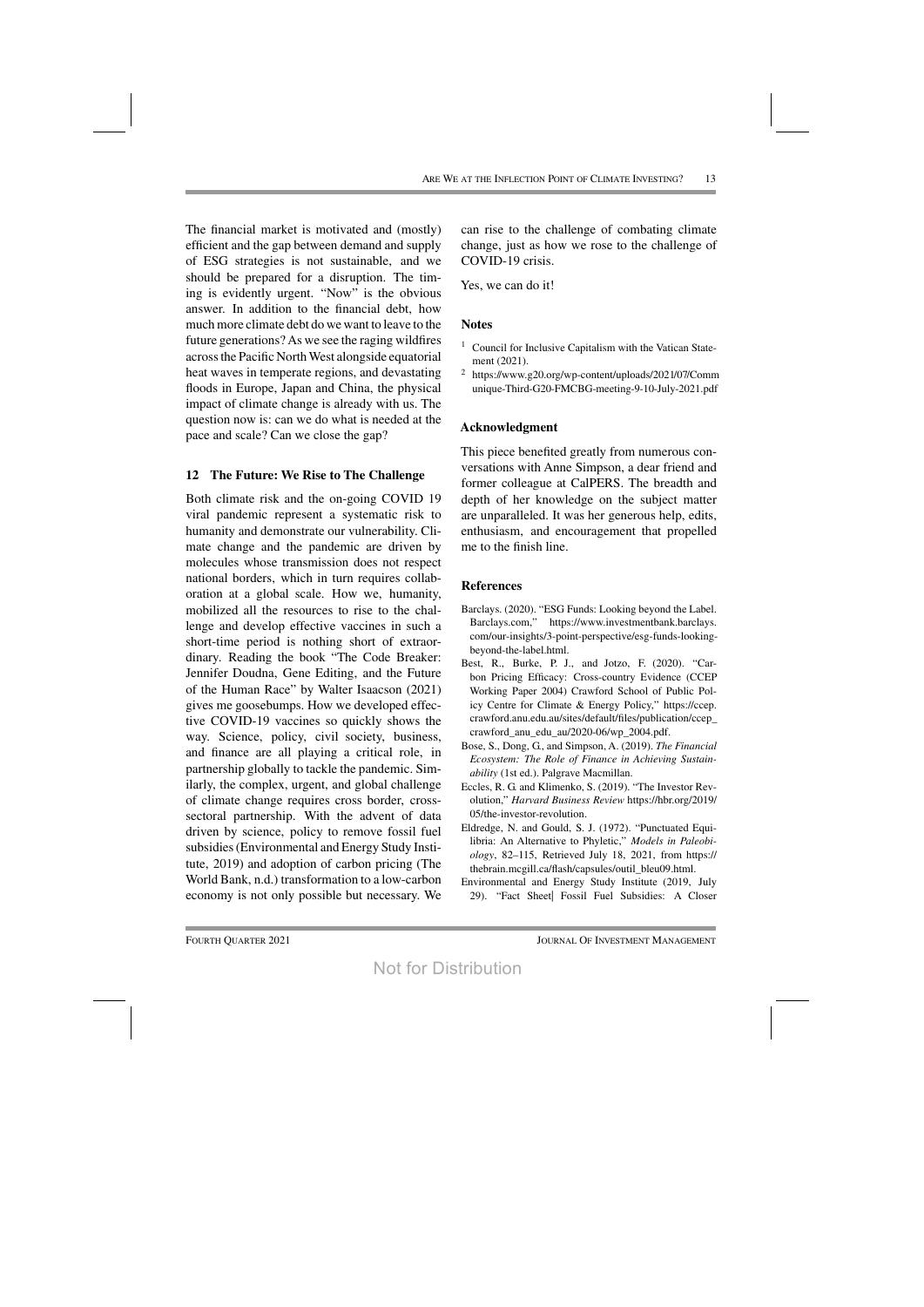The financial market is motivated and (mostly) efficient and the gap between demand and supply of ESG strategies is not sustainable, and we should be prepared for a disruption. The timing is evidently urgent. "Now" is the obvious answer. In addition to the financial debt, how much more climate debt do we want to leave to the future generations? As we see the raging wildfires acrossthe Pacific NorthWest alongside equatorial heat waves in temperate regions, and devastating floods in Europe, Japan and China, the physical impact of climate change is already with us. The question now is: can we do what is needed at the pace and scale? Can we close the gap?

#### **12 The Future: We Rise to The Challenge**

Both climate risk and the on-going COVID 19 viral pandemic represent a systematic risk to humanity and demonstrate our vulnerability. Climate change and the pandemic are driven by molecules whose transmission does not respect national borders, which in turn requires collaboration at a global scale. How we, humanity, mobilized all the resources to rise to the challenge and develop effective vaccines in such a short-time period is nothing short of extraordinary. Reading the book "The Code Breaker: Jennifer Doudna, Gene Editing, and the Future of the Human Race" by Walter Isaacson (2021) gives me goosebumps. How we developed effective COVID-19 vaccines so quickly shows the way. Science, policy, civil society, business, and finance are all playing a critical role, in partnership globally to tackle the pandemic. Similarly, the complex, urgent, and global challenge of climate change requires cross border, crosssectoral partnership. With the advent of data driven by science, policy to remove fossil fuel subsidies(Environmental and Energy Study Institute, 2019) and adoption of carbon pricing (The World Bank, n.d.) transformation to a low-carbon economy is not only possible but necessary. We can rise to the challenge of combating climate change, just as how we rose to the challenge of COVID-19 crisis.

Yes, we can do it!

#### **Notes**

- <sup>1</sup> Council for Inclusive Capitalism with the Vatican Statement (2021).
- <sup>2</sup> https://www.g20.org/wp-content/uploads/2021/07/Comm unique-Third-G20-FMCBG-meeting-9-10-July-2021.pdf

#### **Acknowledgment**

This piece benefited greatly from numerous conversations with Anne Simpson, a dear friend and former colleague at CalPERS. The breadth and depth of her knowledge on the subject matter are unparalleled. It was her generous help, edits, enthusiasm, and encouragement that propelled me to the finish line.

#### **References**

- Barclays. (2020). "ESG Funds: Looking beyond the Label. Barclays.com," https://www.investmentbank.barclays. com/our-insights/3-point-perspective/esg-funds-lookingbeyond-the-label.html.
- Best, R., Burke, P. J., and Jotzo, F. (2020). "Carbon Pricing Efficacy: Cross-country Evidence (CCEP Working Paper 2004) Crawford School of Public Policy Centre for Climate & Energy Policy," https://ccep. crawford.anu.edu.au/sites/default/files/publication/ccep\_ crawford\_anu\_edu\_au/2020-06/wp\_2004.pdf.
- Bose, S., Dong, G., and Simpson, A. (2019). *The Financial Ecosystem: The Role of Finance in Achieving Sustainability* (1st ed.). Palgrave Macmillan.
- Eccles, R. G. and Klimenko, S. (2019). "The Investor Revolution," *Harvard Business Review* https://hbr.org/2019/ 05/the-investor-revolution.
- Eldredge, N. and Gould, S. J. (1972). "Punctuated Equilibria: An Alternative to Phyletic," *Models in Paleobiology*, 82–115, Retrieved July 18, 2021, from https:// thebrain.mcgill.ca/flash/capsules/outil\_bleu09.html.
- Environmental and Energy Study Institute (2019, July 29). "Fact Sheet| Fossil Fuel Subsidies: A Closer